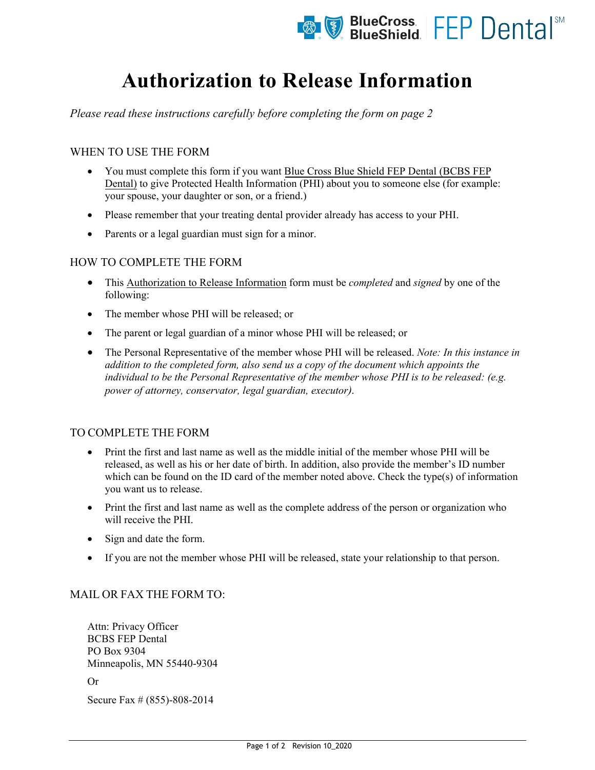

# **Authorization to Release Information**

*Please read these instructions carefully before completing the form on page 2* 

# WHEN TO USE THE FORM

- You must complete this form if you want Blue Cross Blue Shield FEP Dental (BCBS FEP Dental) to give Protected Health Information (PHI) about you to someone else (for example: your spouse, your daughter or son, or a friend.)
- Please remember that your treating dental provider already has access to your PHI.
- Parents or a legal guardian must sign for a minor.

# HOW TO COMPLETE THE FORM

- This Authorization to Release Information form must be *completed* and *signed* by one of the following:
- The member whose PHI will be released; or
- The parent or legal guardian of a minor whose PHI will be released; or
- The Personal Representative of the member whose PHI will be released. *Note: In this instance in addition to the completed form, also send us a copy of the document which appoints the individual to be the Personal Representative of the member whose PHI is to be released: (e.g. power of attorney, conservator, legal guardian, executor).*

# TO COMPLETE THE FORM

- Print the first and last name as well as the middle initial of the member whose PHI will be released, as well as his or her date of birth. In addition, also provide the member's ID number which can be found on the ID card of the member noted above. Check the type(s) of information you want us to release.
- Print the first and last name as well as the complete address of the person or organization who will receive the PHI.
- Sign and date the form.
- If you are not the member whose PHI will be released, state your relationship to that person.

# MAIL OR FAX THE FORM TO:

Attn: Privacy Officer BCBS FEP Dental PO Box 9304 Minneapolis, MN 55440-9304

Or

Secure Fax # (855)-808-2014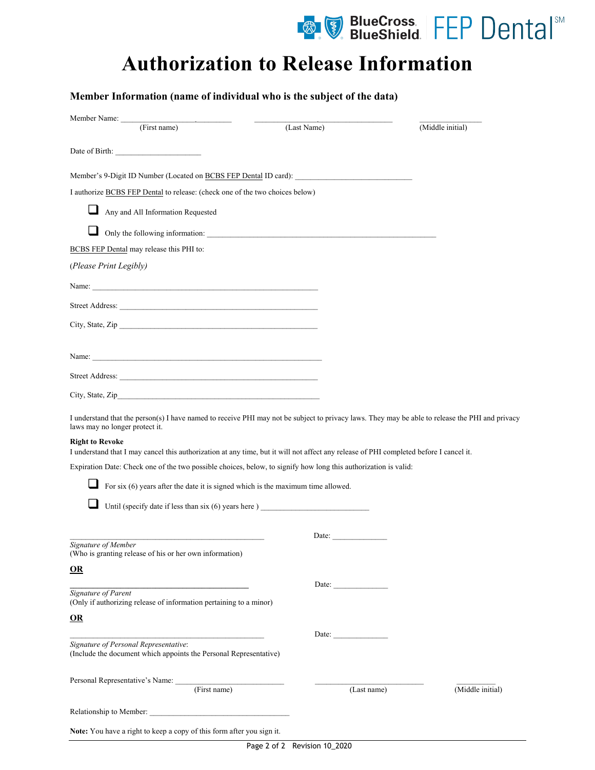

# **Authorization to Release Information**

|                                                                                                                                                                                                                                                                                                                                                                                                                                                                          | $\frac{1}{2}$                                            |                  |
|--------------------------------------------------------------------------------------------------------------------------------------------------------------------------------------------------------------------------------------------------------------------------------------------------------------------------------------------------------------------------------------------------------------------------------------------------------------------------|----------------------------------------------------------|------------------|
|                                                                                                                                                                                                                                                                                                                                                                                                                                                                          | (Last Name)                                              | (Middle initial) |
| Date of Birth:                                                                                                                                                                                                                                                                                                                                                                                                                                                           |                                                          |                  |
| Member's 9-Digit ID Number (Located on BCBS FEP Dental ID card):                                                                                                                                                                                                                                                                                                                                                                                                         |                                                          |                  |
| I authorize BCBS FEP Dental to release: (check one of the two choices below)                                                                                                                                                                                                                                                                                                                                                                                             |                                                          |                  |
| Any and All Information Requested                                                                                                                                                                                                                                                                                                                                                                                                                                        |                                                          |                  |
|                                                                                                                                                                                                                                                                                                                                                                                                                                                                          |                                                          |                  |
| BCBS FEP Dental may release this PHI to:                                                                                                                                                                                                                                                                                                                                                                                                                                 |                                                          |                  |
| (Please Print Legibly)                                                                                                                                                                                                                                                                                                                                                                                                                                                   |                                                          |                  |
|                                                                                                                                                                                                                                                                                                                                                                                                                                                                          |                                                          |                  |
|                                                                                                                                                                                                                                                                                                                                                                                                                                                                          |                                                          |                  |
| City, State, Zip                                                                                                                                                                                                                                                                                                                                                                                                                                                         |                                                          |                  |
|                                                                                                                                                                                                                                                                                                                                                                                                                                                                          |                                                          |                  |
|                                                                                                                                                                                                                                                                                                                                                                                                                                                                          |                                                          |                  |
|                                                                                                                                                                                                                                                                                                                                                                                                                                                                          |                                                          |                  |
|                                                                                                                                                                                                                                                                                                                                                                                                                                                                          |                                                          |                  |
|                                                                                                                                                                                                                                                                                                                                                                                                                                                                          |                                                          |                  |
|                                                                                                                                                                                                                                                                                                                                                                                                                                                                          |                                                          |                  |
|                                                                                                                                                                                                                                                                                                                                                                                                                                                                          |                                                          |                  |
|                                                                                                                                                                                                                                                                                                                                                                                                                                                                          |                                                          |                  |
| For six $(6)$ years after the date it is signed which is the maximum time allowed.                                                                                                                                                                                                                                                                                                                                                                                       |                                                          |                  |
| Until (specify date if less than six (6) years here ) ___________________________                                                                                                                                                                                                                                                                                                                                                                                        |                                                          |                  |
| I understand that the person(s) I have named to receive PHI may not be subject to privacy laws. They may be able to release the PHI and privacy<br>laws may no longer protect it.<br><b>Right to Revoke</b><br>I understand that I may cancel this authorization at any time, but it will not affect any release of PHI completed before I cancel it.<br>Expiration Date: Check one of the two possible choices, below, to signify how long this authorization is valid: |                                                          |                  |
| Signature of Member                                                                                                                                                                                                                                                                                                                                                                                                                                                      | Date: $\frac{1}{\sqrt{1-\frac{1}{2}} \cdot \frac{1}{2}}$ |                  |
| (Who is granting release of his or her own information)                                                                                                                                                                                                                                                                                                                                                                                                                  |                                                          |                  |
| $\underline{\mathbf{OR}}$                                                                                                                                                                                                                                                                                                                                                                                                                                                |                                                          |                  |
| the control of the control of the control of the control of the control of<br>Signature of Parent                                                                                                                                                                                                                                                                                                                                                                        | Date:                                                    |                  |
| (Only if authorizing release of information pertaining to a minor)                                                                                                                                                                                                                                                                                                                                                                                                       |                                                          |                  |
| $\underline{\mathbf{OR}}$                                                                                                                                                                                                                                                                                                                                                                                                                                                |                                                          |                  |
| Signature of Personal Representative:<br>(Include the document which appoints the Personal Representative)                                                                                                                                                                                                                                                                                                                                                               | Date: $\frac{1}{\sqrt{1-\frac{1}{2}} \cdot \frac{1}{2}}$ |                  |
| Personal Representative's Name: (First name)                                                                                                                                                                                                                                                                                                                                                                                                                             | (Last name)                                              | (Middle initial) |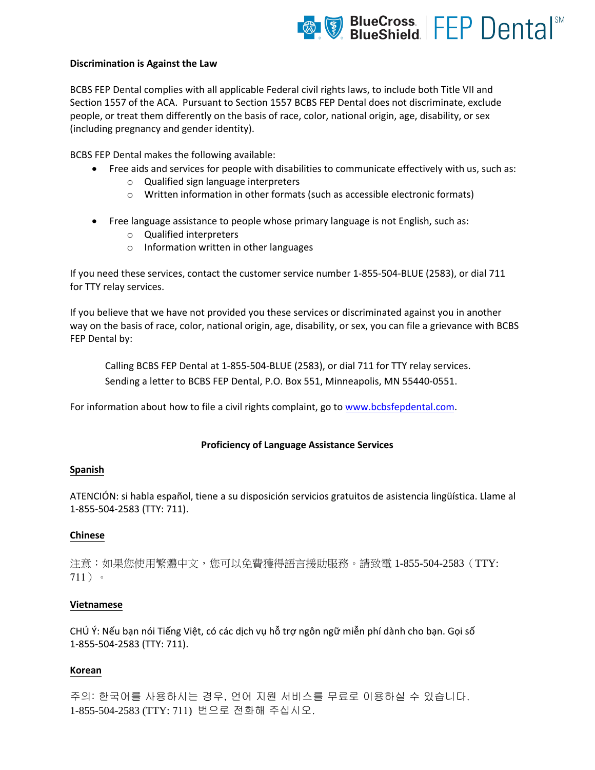

#### **Discrimination is Against the Law**

BCBS FEP Dental complies with all applicable Federal civil rights laws, to include both Title VII and Section 1557 of the ACA. Pursuant to Section 1557 BCBS FEP Dental does not discriminate, exclude people, or treat them differently on the basis of race, color, national origin, age, disability, or sex (including pregnancy and gender identity).

BCBS FEP Dental makes the following available:

- Free aids and services for people with disabilities to communicate effectively with us, such as:
	- o Qualified sign language interpreters
	- o Written information in other formats (such as accessible electronic formats)
- Free language assistance to people whose primary language is not English, such as:
	- o Qualified interpreters
	- o Information written in other languages

If you need these services, contact the customer service number 1-855-504-BLUE (2583), or dial 711 for TTY relay services.

If you believe that we have not provided you these services or discriminated against you in another way on the basis of race, color, national origin, age, disability, or sex, you can file a grievance with BCBS FEP Dental by:

Calling BCBS FEP Dental at 1-855-504-BLUE (2583), or dial 711 for TTY relay services. Sending a letter to BCBS FEP Dental, P.O. Box 551, Minneapolis, MN 55440-0551.

For information about how to file a civil rights complaint, go to [www.](http://www.fepblue.org/)bcbsfepdental.com.

#### **Proficiency of Language Assistance Services**

#### **Spanish**

ATENCIÓN: si habla español, tiene a su disposición servicios gratuitos de asistencia lingüística. Llame al 1-855-504-2583 (TTY: 711).

#### **Chinese**

注意:如果您使用繁體中文,您可以免費獲得語言援助服務。請致電 1-855-504-2583(TTY: 711)。

#### **Vietnamese**

CHÚ Ý: Nếu bạn nói Tiếng Việt, có các dịch vụ hỗ trợ ngôn ngữ miễn phí dành cho bạn. Gọi số 1-855-504-2583 (TTY: 711).

#### **Korean**

주의: 한국어를 사용하시는 경우, 언어 지원 서비스를 무료로 이용하실 수 있습니다. 1-855-504-2583 (TTY: 711) 번으로 전화해 주십시오.